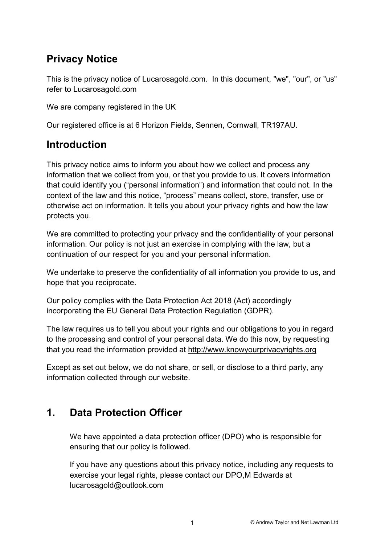# Privacy Notice

This is the privacy notice of Lucarosagold.com. In this document, "we", "our", or "us" refer to Lucarosagold.com

We are company registered in the UK

Our registered office is at 6 Horizon Fields, Sennen, Cornwall, TR197AU.

# Introduction

This privacy notice aims to inform you about how we collect and process any information that we collect from you, or that you provide to us. It covers information that could identify you ("personal information") and information that could not. In the context of the law and this notice, "process" means collect, store, transfer, use or otherwise act on information. It tells you about your privacy rights and how the law protects you.

We are committed to protecting your privacy and the confidentiality of your personal information. Our policy is not just an exercise in complying with the law, but a continuation of our respect for you and your personal information.

We undertake to preserve the confidentiality of all information you provide to us, and hope that you reciprocate.

Our policy complies with the Data Protection Act 2018 (Act) accordingly incorporating the EU General Data Protection Regulation (GDPR).

The law requires us to tell you about your rights and our obligations to you in regard to the processing and control of your personal data. We do this now, by requesting that you read the information provided at http://www.knowyourprivacyrights.org

Except as set out below, we do not share, or sell, or disclose to a third party, any information collected through our website.

# 1. Data Protection Officer

We have appointed a data protection officer (DPO) who is responsible for ensuring that our policy is followed.

If you have any questions about this privacy notice, including any requests to exercise your legal rights, please contact our DPO,M Edwards at lucarosagold@outlook.com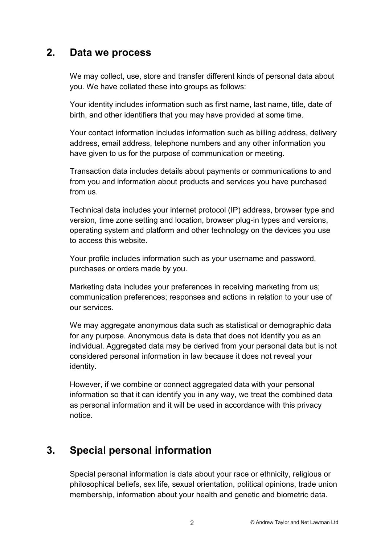#### 2. Data we process

We may collect, use, store and transfer different kinds of personal data about you. We have collated these into groups as follows:

Your identity includes information such as first name, last name, title, date of birth, and other identifiers that you may have provided at some time.

Your contact information includes information such as billing address, delivery address, email address, telephone numbers and any other information you have given to us for the purpose of communication or meeting.

Transaction data includes details about payments or communications to and from you and information about products and services you have purchased from us.

Technical data includes your internet protocol (IP) address, browser type and version, time zone setting and location, browser plug-in types and versions, operating system and platform and other technology on the devices you use to access this website.

Your profile includes information such as your username and password, purchases or orders made by you.

Marketing data includes your preferences in receiving marketing from us; communication preferences; responses and actions in relation to your use of our services.

We may aggregate anonymous data such as statistical or demographic data for any purpose. Anonymous data is data that does not identify you as an individual. Aggregated data may be derived from your personal data but is not considered personal information in law because it does not reveal your identity.

However, if we combine or connect aggregated data with your personal information so that it can identify you in any way, we treat the combined data as personal information and it will be used in accordance with this privacy notice.

# 3. Special personal information

Special personal information is data about your race or ethnicity, religious or philosophical beliefs, sex life, sexual orientation, political opinions, trade union membership, information about your health and genetic and biometric data.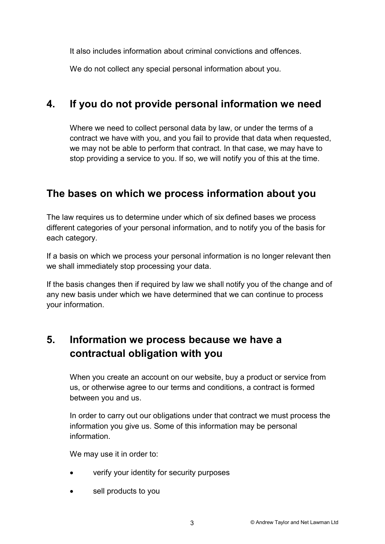It also includes information about criminal convictions and offences.

We do not collect any special personal information about you.

# 4. If you do not provide personal information we need

Where we need to collect personal data by law, or under the terms of a contract we have with you, and you fail to provide that data when requested, we may not be able to perform that contract. In that case, we may have to stop providing a service to you. If so, we will notify you of this at the time.

#### The bases on which we process information about you

The law requires us to determine under which of six defined bases we process different categories of your personal information, and to notify you of the basis for each category.

If a basis on which we process your personal information is no longer relevant then we shall immediately stop processing your data.

If the basis changes then if required by law we shall notify you of the change and of any new basis under which we have determined that we can continue to process your information.

# 5. Information we process because we have a contractual obligation with you

When you create an account on our website, buy a product or service from us, or otherwise agree to our terms and conditions, a contract is formed between you and us.

In order to carry out our obligations under that contract we must process the information you give us. Some of this information may be personal information.

We may use it in order to:

- verify your identity for security purposes
- sell products to you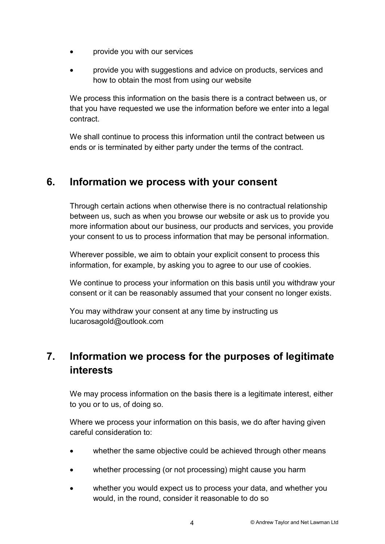- provide you with our services
- provide you with suggestions and advice on products, services and how to obtain the most from using our website

We process this information on the basis there is a contract between us, or that you have requested we use the information before we enter into a legal contract.

We shall continue to process this information until the contract between us ends or is terminated by either party under the terms of the contract.

#### 6. Information we process with your consent

Through certain actions when otherwise there is no contractual relationship between us, such as when you browse our website or ask us to provide you more information about our business, our products and services, you provide your consent to us to process information that may be personal information.

Wherever possible, we aim to obtain your explicit consent to process this information, for example, by asking you to agree to our use of cookies.

We continue to process your information on this basis until you withdraw your consent or it can be reasonably assumed that your consent no longer exists.

You may withdraw your consent at any time by instructing us lucarosagold@outlook.com

# 7. Information we process for the purposes of legitimate interests

We may process information on the basis there is a legitimate interest, either to you or to us, of doing so.

Where we process your information on this basis, we do after having given careful consideration to:

- whether the same objective could be achieved through other means
- whether processing (or not processing) might cause you harm
- whether you would expect us to process your data, and whether you would, in the round, consider it reasonable to do so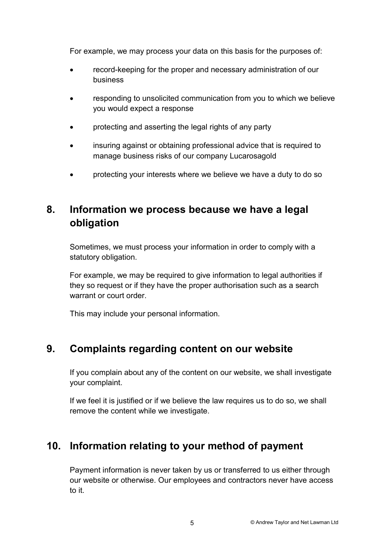For example, we may process your data on this basis for the purposes of:

- record-keeping for the proper and necessary administration of our business
- responding to unsolicited communication from you to which we believe you would expect a response
- protecting and asserting the legal rights of any party
- insuring against or obtaining professional advice that is required to manage business risks of our company Lucarosagold
- protecting your interests where we believe we have a duty to do so

# 8. Information we process because we have a legal obligation

Sometimes, we must process your information in order to comply with a statutory obligation.

For example, we may be required to give information to legal authorities if they so request or if they have the proper authorisation such as a search warrant or court order.

This may include your personal information.

#### 9. Complaints regarding content on our website

If you complain about any of the content on our website, we shall investigate your complaint.

If we feel it is justified or if we believe the law requires us to do so, we shall remove the content while we investigate.

# 10. Information relating to your method of payment

Payment information is never taken by us or transferred to us either through our website or otherwise. Our employees and contractors never have access to it.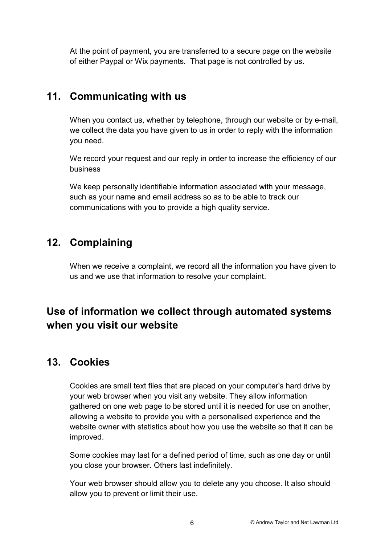At the point of payment, you are transferred to a secure page on the website of either Paypal or Wix payments. That page is not controlled by us.

#### 11. Communicating with us

When you contact us, whether by telephone, through our website or by e-mail, we collect the data you have given to us in order to reply with the information you need.

We record your request and our reply in order to increase the efficiency of our business

We keep personally identifiable information associated with your message, such as your name and email address so as to be able to track our communications with you to provide a high quality service.

# 12. Complaining

When we receive a complaint, we record all the information you have given to us and we use that information to resolve your complaint.

# Use of information we collect through automated systems when you visit our website

#### 13. Cookies

Cookies are small text files that are placed on your computer's hard drive by your web browser when you visit any website. They allow information gathered on one web page to be stored until it is needed for use on another, allowing a website to provide you with a personalised experience and the website owner with statistics about how you use the website so that it can be improved.

Some cookies may last for a defined period of time, such as one day or until you close your browser. Others last indefinitely.

Your web browser should allow you to delete any you choose. It also should allow you to prevent or limit their use.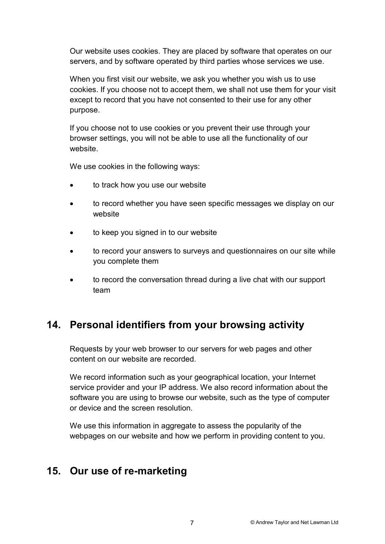Our website uses cookies. They are placed by software that operates on our servers, and by software operated by third parties whose services we use.

When you first visit our website, we ask you whether you wish us to use cookies. If you choose not to accept them, we shall not use them for your visit except to record that you have not consented to their use for any other purpose.

If you choose not to use cookies or you prevent their use through your browser settings, you will not be able to use all the functionality of our website.

We use cookies in the following ways:

- to track how you use our website
- to record whether you have seen specific messages we display on our website
- to keep you signed in to our website
- to record your answers to surveys and questionnaires on our site while you complete them
- to record the conversation thread during a live chat with our support team

# 14. Personal identifiers from your browsing activity

Requests by your web browser to our servers for web pages and other content on our website are recorded.

We record information such as your geographical location, your Internet service provider and your IP address. We also record information about the software you are using to browse our website, such as the type of computer or device and the screen resolution.

We use this information in aggregate to assess the popularity of the webpages on our website and how we perform in providing content to you.

#### 15. Our use of re-marketing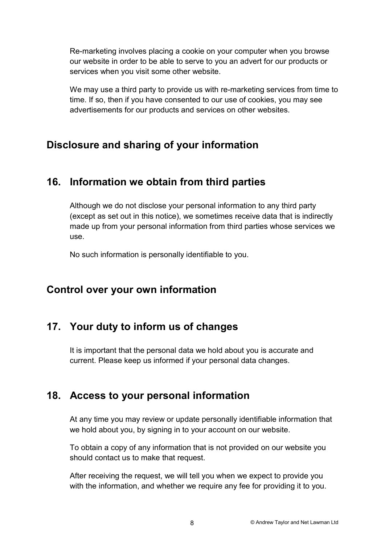Re-marketing involves placing a cookie on your computer when you browse our website in order to be able to serve to you an advert for our products or services when you visit some other website.

We may use a third party to provide us with re-marketing services from time to time. If so, then if you have consented to our use of cookies, you may see advertisements for our products and services on other websites.

#### Disclosure and sharing of your information

#### 16. Information we obtain from third parties

Although we do not disclose your personal information to any third party (except as set out in this notice), we sometimes receive data that is indirectly made up from your personal information from third parties whose services we use.

No such information is personally identifiable to you.

# Control over your own information

# 17. Your duty to inform us of changes

It is important that the personal data we hold about you is accurate and current. Please keep us informed if your personal data changes.

#### 18. Access to your personal information

At any time you may review or update personally identifiable information that we hold about you, by signing in to your account on our website.

To obtain a copy of any information that is not provided on our website you should contact us to make that request.

After receiving the request, we will tell you when we expect to provide you with the information, and whether we require any fee for providing it to you.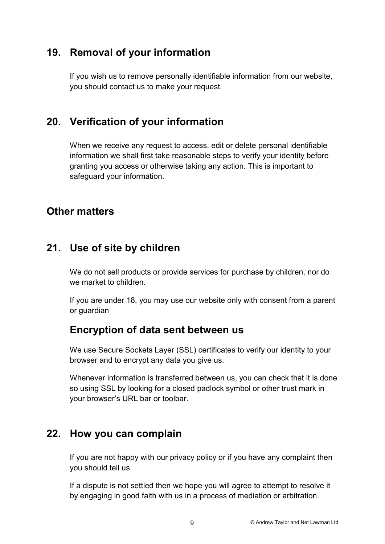#### 19. Removal of your information

If you wish us to remove personally identifiable information from our website, you should contact us to make your request.

# 20. Verification of your information

When we receive any request to access, edit or delete personal identifiable information we shall first take reasonable steps to verify your identity before granting you access or otherwise taking any action. This is important to safeguard your information.

#### Other matters

#### 21. Use of site by children

We do not sell products or provide services for purchase by children, nor do we market to children.

If you are under 18, you may use our website only with consent from a parent or guardian

#### Encryption of data sent between us

We use Secure Sockets Layer (SSL) certificates to verify our identity to your browser and to encrypt any data you give us.

Whenever information is transferred between us, you can check that it is done so using SSL by looking for a closed padlock symbol or other trust mark in your browser's URL bar or toolbar.

#### 22. How you can complain

If you are not happy with our privacy policy or if you have any complaint then you should tell us.

If a dispute is not settled then we hope you will agree to attempt to resolve it by engaging in good faith with us in a process of mediation or arbitration.